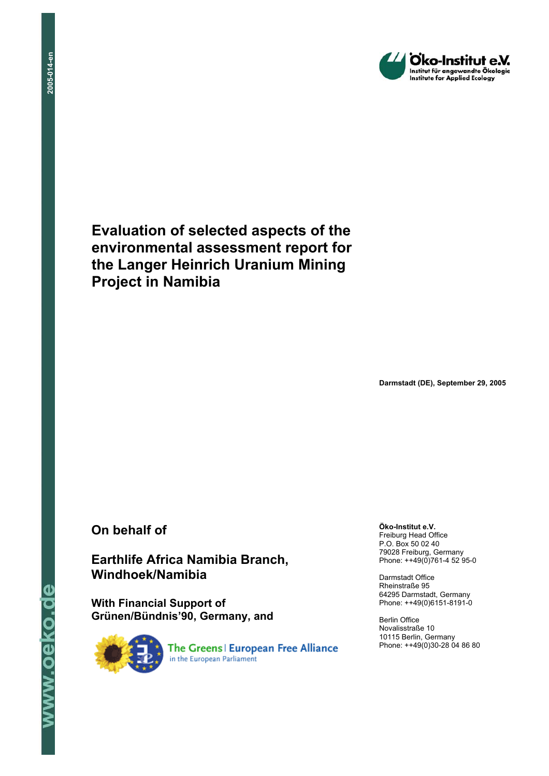

**Evaluation of selected aspects of the environmental assessment report for the Langer Heinrich Uranium Mining Project in Namibia** 

**Darmstadt (DE), September 29, 2005** 

## **On behalf of**

## **Earthlife Africa Namibia Branch, Windhoek/Namibia**

**With Financial Support of Grünen/Bündnis'90, Germany, and**



**Öko-Institut e.V.**  Freiburg Head Office P.O. Box 50 02 40 79028 Freiburg, Germany Phone: ++49(0)761-4 52 95-0

Darmstadt Office Rheinstraße 95 64295 Darmstadt, Germany Phone: ++49(0)6151-8191-0

Berlin Office Novalisstraße 10 10115 Berlin, Germany Phone: ++49(0)30-28 04 86 80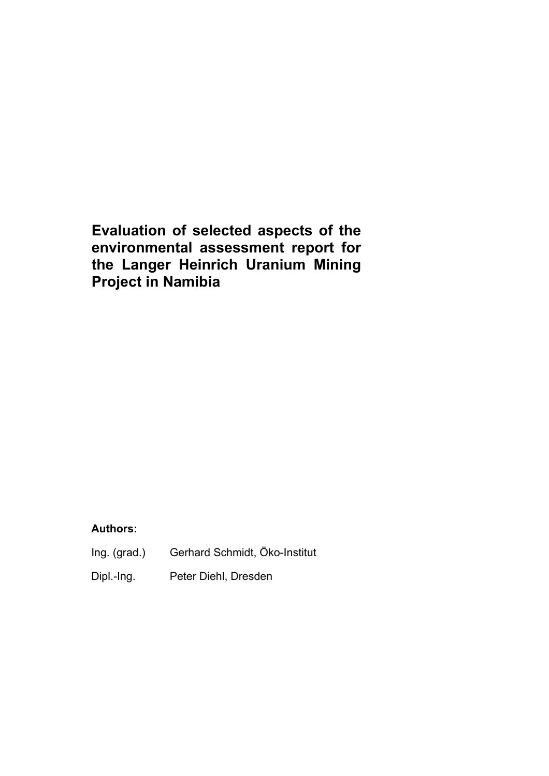# **Evaluation of selected aspects of the environmental assessment report for the Langer Heinrich Uranium Mining Project in Namibia**

#### **Authors:**

- Ing. (grad.) Gerhard Schmidt, Öko-Institut
- Dipl.-Ing. Peter Diehl, Dresden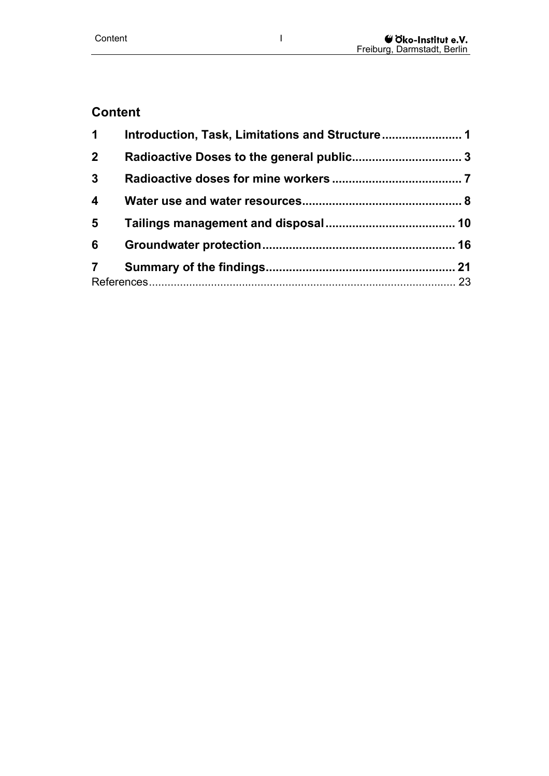## **Content**

| $\mathbf 1$             |  |  |
|-------------------------|--|--|
| 2 <sup>1</sup>          |  |  |
| $\mathbf{3}$            |  |  |
| $\overline{\mathbf{4}}$ |  |  |
| 5                       |  |  |
| 6                       |  |  |
| 7                       |  |  |
|                         |  |  |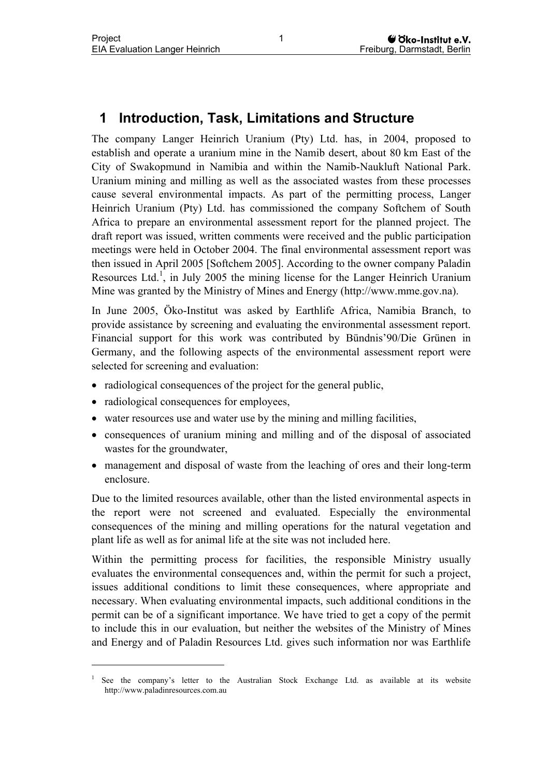## <span id="page-4-0"></span>**1 Introduction, Task, Limitations and Structure**

The company Langer Heinrich Uranium (Pty) Ltd. has, in 2004, proposed to establish and operate a uranium mine in the Namib desert, about 80 km East of the City of Swakopmund in Namibia and within the Namib-Naukluft National Park. Uranium mining and milling as well as the associated wastes from these processes cause several environmental impacts. As part of the permitting process, Langer Heinrich Uranium (Pty) Ltd. has commissioned the company Softchem of South Africa to prepare an environmental assessment report for the planned project. The draft report was issued, written comments were received and the public participation meetings were held in October 2004. The final environmental assessment report was then issued in April 2005 [Softchem 2005]. According to the owner company Paladin Resources Ltd.<sup>[1](#page-4-1)</sup>, in July 2005 the mining license for the Langer Heinrich Uranium Mine was granted by the Ministry of Mines and Energy (http://www.mme.gov.na).

In June 2005, Öko-Institut was asked by Earthlife Africa, Namibia Branch, to provide assistance by screening and evaluating the environmental assessment report. Financial support for this work was contributed by Bündnis'90/Die Grünen in Germany, and the following aspects of the environmental assessment report were selected for screening and evaluation:

- radiological consequences of the project for the general public,
- radiological consequences for employees,

 $\overline{a}$ 

- water resources use and water use by the mining and milling facilities,
- consequences of uranium mining and milling and of the disposal of associated wastes for the groundwater,
- management and disposal of waste from the leaching of ores and their long-term enclosure.

Due to the limited resources available, other than the listed environmental aspects in the report were not screened and evaluated. Especially the environmental consequences of the mining and milling operations for the natural vegetation and plant life as well as for animal life at the site was not included here.

Within the permitting process for facilities, the responsible Ministry usually evaluates the environmental consequences and, within the permit for such a project, issues additional conditions to limit these consequences, where appropriate and necessary. When evaluating environmental impacts, such additional conditions in the permit can be of a significant importance. We have tried to get a copy of the permit to include this in our evaluation, but neither the websites of the Ministry of Mines and Energy and of Paladin Resources Ltd. gives such information nor was Earthlife

<span id="page-4-1"></span><sup>1</sup> See the company's letter to the Australian Stock Exchange Ltd. as available at its website http://www.paladinresources.com.au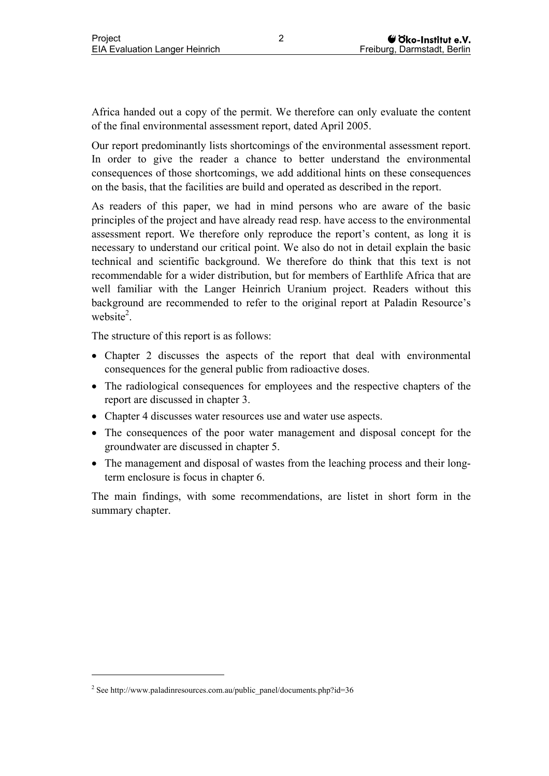Africa handed out a copy of the permit. We therefore can only evaluate the content of the final environmental assessment report, dated April 2005.

Our report predominantly lists shortcomings of the environmental assessment report. In order to give the reader a chance to better understand the environmental consequences of those shortcomings, we add additional hints on these consequences on the basis, that the facilities are build and operated as described in the report.

As readers of this paper, we had in mind persons who are aware of the basic principles of the project and have already read resp. have access to the environmental assessment report. We therefore only reproduce the report's content, as long it is necessary to understand our critical point. We also do not in detail explain the basic technical and scientific background. We therefore do think that this text is not recommendable for a wider distribution, but for members of Earthlife Africa that are well familiar with the Langer Heinrich Uranium project. Readers without this background are recommended to refer to the original report at Paladin Resource's website<sup>2</sup>.

The structure of this report is as follows:

- Chapter 2 discusses the aspects of the report that deal with environmental consequences for the general public from radioactive doses.
- The radiological consequences for employees and the respective chapters of the report are discussed in chapter 3.
- Chapter 4 discusses water resources use and water use aspects.
- The consequences of the poor water management and disposal concept for the groundwater are discussed in chapter 5.
- The management and disposal of wastes from the leaching process and their longterm enclosure is focus in chapter 6.

The main findings, with some recommendations, are listet in short form in the summary chapter.

 $\overline{a}$ 

<span id="page-5-0"></span> $2^2$  See http://www.paladinresources.com.au/public\_panel/documents.php?id=36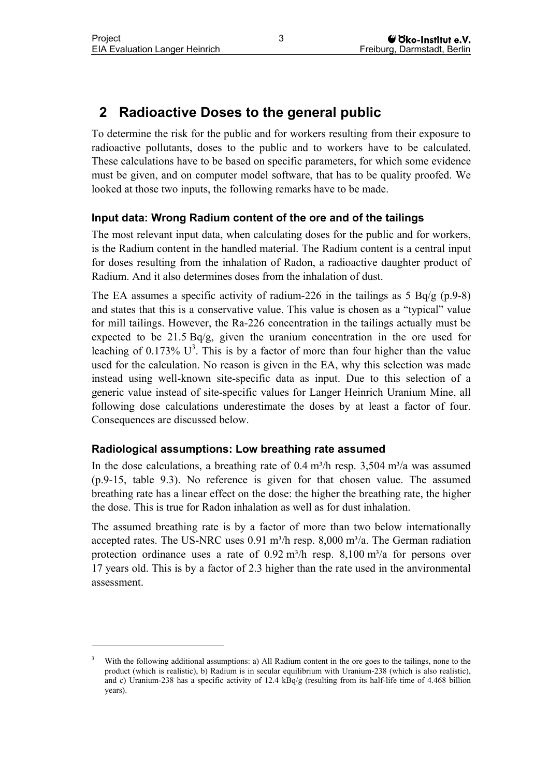$\overline{a}$ 

## <span id="page-6-0"></span>**2 Radioactive Doses to the general public**

To determine the risk for the public and for workers resulting from their exposure to radioactive pollutants, doses to the public and to workers have to be calculated. These calculations have to be based on specific parameters, for which some evidence must be given, and on computer model software, that has to be quality proofed. We looked at those two inputs, the following remarks have to be made.

### **Input data: Wrong Radium content of the ore and of the tailings**

The most relevant input data, when calculating doses for the public and for workers, is the Radium content in the handled material. The Radium content is a central input for doses resulting from the inhalation of Radon, a radioactive daughter product of Radium. And it also determines doses from the inhalation of dust.

The EA assumes a specific activity of radium-226 in the tailings as  $5 \text{ Bq/g}$  (p.9-8) and states that this is a conservative value. This value is chosen as a "typical" value for mill tailings. However, the Ra-226 concentration in the tailings actually must be expected to be  $21.5$  Bq/g, given the uranium concentration in the ore used for leaching of 0.173%  $U^3$ . This is by a factor of more than four higher than the value used for the calculation. No reason is given in the EA, why this selection was made instead using well-known site-specific data as input. Due to this selection of a generic value instead of site-specific values for Langer Heinrich Uranium Mine, all following dose calculations underestimate the doses by at least a factor of four. Consequences are discussed below.

#### **Radiological assumptions: Low breathing rate assumed**

In the dose calculations, a breathing rate of  $0.4$  m<sup>3</sup>/h resp. 3,504 m<sup>3</sup>/a was assumed (p.9-15, table 9.3). No reference is given for that chosen value. The assumed breathing rate has a linear effect on the dose: the higher the breathing rate, the higher the dose. This is true for Radon inhalation as well as for dust inhalation.

The assumed breathing rate is by a factor of more than two below internationally accepted rates. The US-NRC uses  $0.91 \text{ m}^3/\text{h}$  resp.  $8,000 \text{ m}^3/\text{a}$ . The German radiation protection ordinance uses a rate of  $0.92 \text{ m}^3/\text{h}$  resp.  $8,100 \text{ m}^3/\text{a}$  for persons over 17 years old. This is by a factor of 2.3 higher than the rate used in the anvironmental assessment.

<span id="page-6-1"></span><sup>3</sup> With the following additional assumptions: a) All Radium content in the ore goes to the tailings, none to the product (which is realistic), b) Radium is in secular equilibrium with Uranium-238 (which is also realistic), and c) Uranium-238 has a specific activity of 12.4 kBq/g (resulting from its half-life time of 4.468 billion years).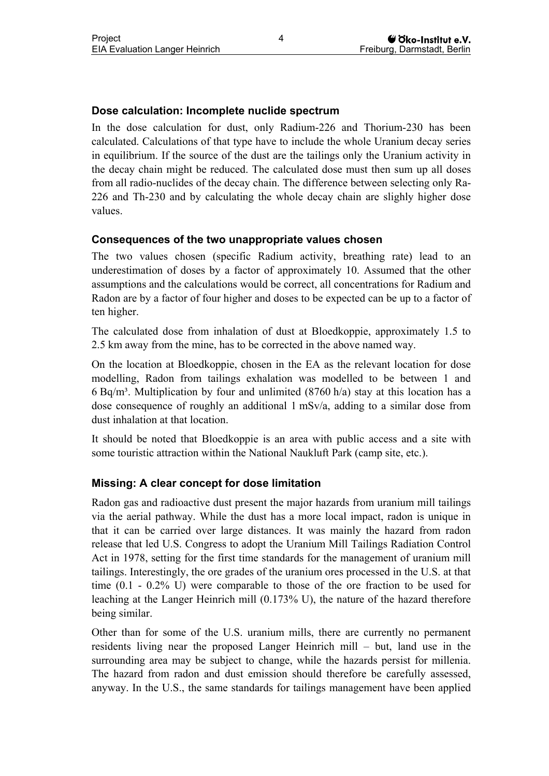### **Dose calculation: Incomplete nuclide spectrum**

In the dose calculation for dust, only Radium-226 and Thorium-230 has been calculated. Calculations of that type have to include the whole Uranium decay series in equilibrium. If the source of the dust are the tailings only the Uranium activity in the decay chain might be reduced. The calculated dose must then sum up all doses from all radio-nuclides of the decay chain. The difference between selecting only Ra-226 and Th-230 and by calculating the whole decay chain are slighly higher dose values.

#### **Consequences of the two unappropriate values chosen**

The two values chosen (specific Radium activity, breathing rate) lead to an underestimation of doses by a factor of approximately 10. Assumed that the other assumptions and the calculations would be correct, all concentrations for Radium and Radon are by a factor of four higher and doses to be expected can be up to a factor of ten higher.

The calculated dose from inhalation of dust at Bloedkoppie, approximately 1.5 to 2.5 km away from the mine, has to be corrected in the above named way.

On the location at Bloedkoppie, chosen in the EA as the relevant location for dose modelling, Radon from tailings exhalation was modelled to be between 1 and 6 Bq/m<sup>3</sup>. Multiplication by four and unlimited (8760 h/a) stay at this location has a dose consequence of roughly an additional 1 mSv/a, adding to a similar dose from dust inhalation at that location.

It should be noted that Bloedkoppie is an area with public access and a site with some touristic attraction within the National Naukluft Park (camp site, etc.).

#### **Missing: A clear concept for dose limitation**

Radon gas and radioactive dust present the major hazards from uranium mill tailings via the aerial pathway. While the dust has a more local impact, radon is unique in that it can be carried over large distances. It was mainly the hazard from radon release that led U.S. Congress to adopt the Uranium Mill Tailings Radiation Control Act in 1978, setting for the first time standards for the management of uranium mill tailings. Interestingly, the ore grades of the uranium ores processed in the U.S. at that time (0.1 - 0.2% U) were comparable to those of the ore fraction to be used for leaching at the Langer Heinrich mill (0.173% U), the nature of the hazard therefore being similar.

Other than for some of the U.S. uranium mills, there are currently no permanent residents living near the proposed Langer Heinrich mill – but, land use in the surrounding area may be subject to change, while the hazards persist for millenia. The hazard from radon and dust emission should therefore be carefully assessed, anyway. In the U.S., the same standards for tailings management have been applied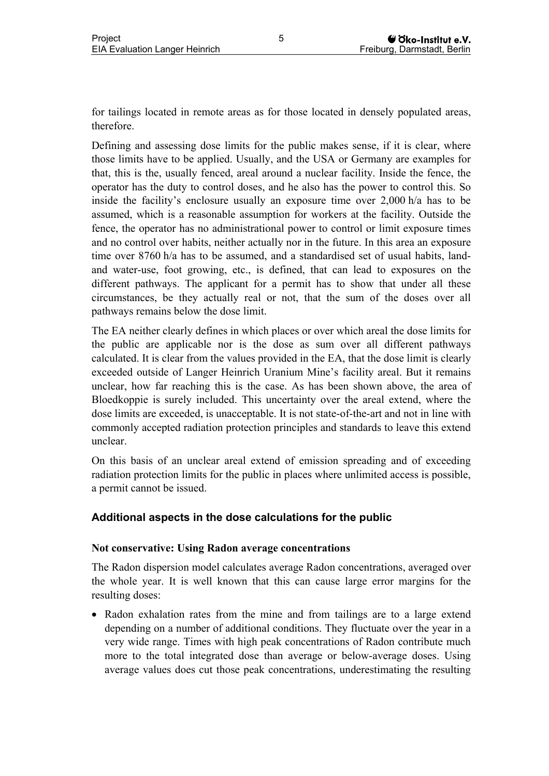for tailings located in remote areas as for those located in densely populated areas, therefore.

Defining and assessing dose limits for the public makes sense, if it is clear, where those limits have to be applied. Usually, and the USA or Germany are examples for that, this is the, usually fenced, areal around a nuclear facility. Inside the fence, the operator has the duty to control doses, and he also has the power to control this. So inside the facility's enclosure usually an exposure time over 2,000 h/a has to be assumed, which is a reasonable assumption for workers at the facility. Outside the fence, the operator has no administrational power to control or limit exposure times and no control over habits, neither actually nor in the future. In this area an exposure time over 8760 h/a has to be assumed, and a standardised set of usual habits, landand water-use, foot growing, etc., is defined, that can lead to exposures on the different pathways. The applicant for a permit has to show that under all these circumstances, be they actually real or not, that the sum of the doses over all pathways remains below the dose limit.

The EA neither clearly defines in which places or over which areal the dose limits for the public are applicable nor is the dose as sum over all different pathways calculated. It is clear from the values provided in the EA, that the dose limit is clearly exceeded outside of Langer Heinrich Uranium Mine's facility areal. But it remains unclear, how far reaching this is the case. As has been shown above, the area of Bloedkoppie is surely included. This uncertainty over the areal extend, where the dose limits are exceeded, is unacceptable. It is not state-of-the-art and not in line with commonly accepted radiation protection principles and standards to leave this extend unclear.

On this basis of an unclear areal extend of emission spreading and of exceeding radiation protection limits for the public in places where unlimited access is possible, a permit cannot be issued.

### **Additional aspects in the dose calculations for the public**

#### **Not conservative: Using Radon average concentrations**

The Radon dispersion model calculates average Radon concentrations, averaged over the whole year. It is well known that this can cause large error margins for the resulting doses:

• Radon exhalation rates from the mine and from tailings are to a large extend depending on a number of additional conditions. They fluctuate over the year in a very wide range. Times with high peak concentrations of Radon contribute much more to the total integrated dose than average or below-average doses. Using average values does cut those peak concentrations, underestimating the resulting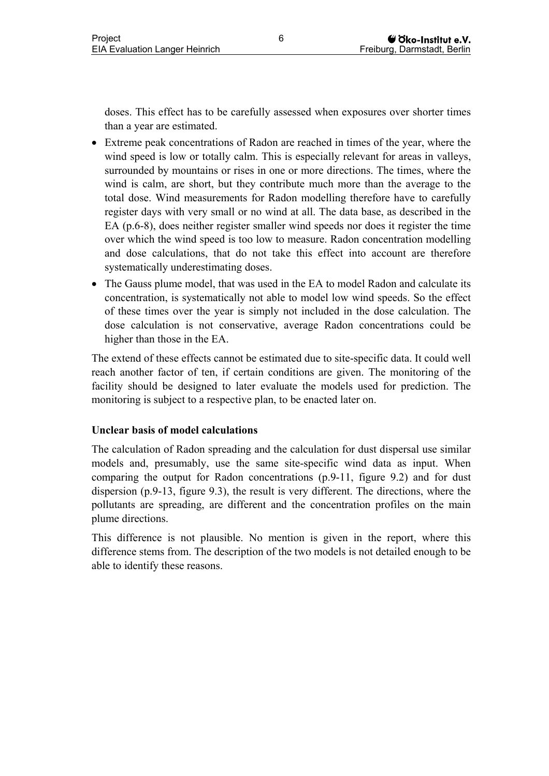doses. This effect has to be carefully assessed when exposures over shorter times than a year are estimated.

- Extreme peak concentrations of Radon are reached in times of the year, where the wind speed is low or totally calm. This is especially relevant for areas in valleys, surrounded by mountains or rises in one or more directions. The times, where the wind is calm, are short, but they contribute much more than the average to the total dose. Wind measurements for Radon modelling therefore have to carefully register days with very small or no wind at all. The data base, as described in the EA (p.6-8), does neither register smaller wind speeds nor does it register the time over which the wind speed is too low to measure. Radon concentration modelling and dose calculations, that do not take this effect into account are therefore systematically underestimating doses.
- The Gauss plume model, that was used in the EA to model Radon and calculate its concentration, is systematically not able to model low wind speeds. So the effect of these times over the year is simply not included in the dose calculation. The dose calculation is not conservative, average Radon concentrations could be higher than those in the EA.

The extend of these effects cannot be estimated due to site-specific data. It could well reach another factor of ten, if certain conditions are given. The monitoring of the facility should be designed to later evaluate the models used for prediction. The monitoring is subject to a respective plan, to be enacted later on.

#### **Unclear basis of model calculations**

The calculation of Radon spreading and the calculation for dust dispersal use similar models and, presumably, use the same site-specific wind data as input. When comparing the output for Radon concentrations (p.9-11, figure 9.2) and for dust dispersion (p.9-13, figure 9.3), the result is very different. The directions, where the pollutants are spreading, are different and the concentration profiles on the main plume directions.

This difference is not plausible. No mention is given in the report, where this difference stems from. The description of the two models is not detailed enough to be able to identify these reasons.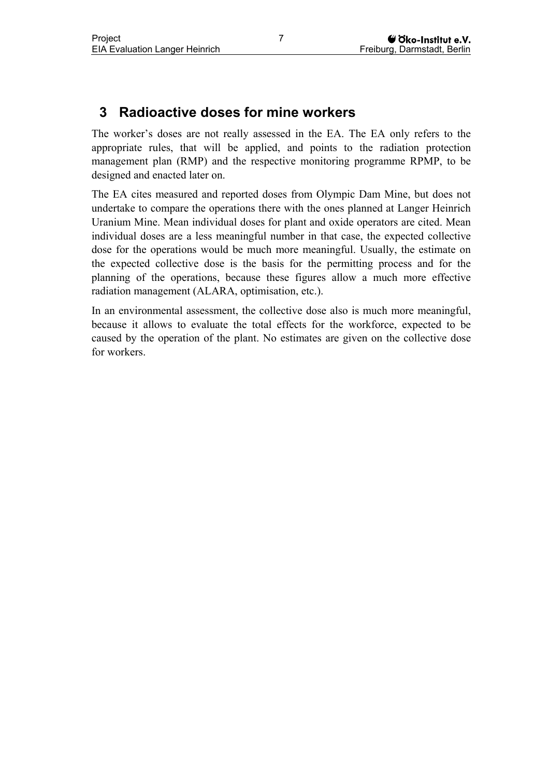## <span id="page-10-0"></span>**3 Radioactive doses for mine workers**

The worker's doses are not really assessed in the EA. The EA only refers to the appropriate rules, that will be applied, and points to the radiation protection management plan (RMP) and the respective monitoring programme RPMP, to be designed and enacted later on.

The EA cites measured and reported doses from Olympic Dam Mine, but does not undertake to compare the operations there with the ones planned at Langer Heinrich Uranium Mine. Mean individual doses for plant and oxide operators are cited. Mean individual doses are a less meaningful number in that case, the expected collective dose for the operations would be much more meaningful. Usually, the estimate on the expected collective dose is the basis for the permitting process and for the planning of the operations, because these figures allow a much more effective radiation management (ALARA, optimisation, etc.).

In an environmental assessment, the collective dose also is much more meaningful, because it allows to evaluate the total effects for the workforce, expected to be caused by the operation of the plant. No estimates are given on the collective dose for workers.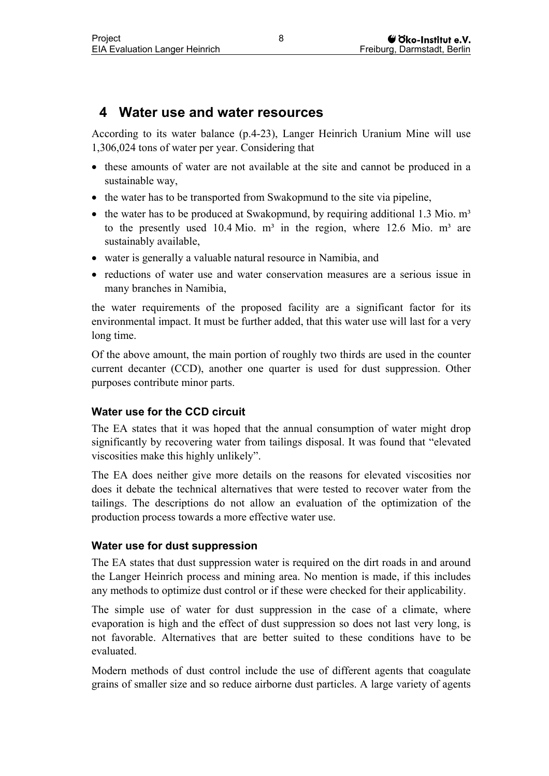## <span id="page-11-0"></span>**4 Water use and water resources**

According to its water balance (p.4-23), Langer Heinrich Uranium Mine will use 1,306,024 tons of water per year. Considering that

- these amounts of water are not available at the site and cannot be produced in a sustainable way,
- the water has to be transported from Swakopmund to the site via pipeline,
- the water has to be produced at Swakopmund, by requiring additional 1.3 Mio.  $m<sup>3</sup>$ to the presently used 10.4 Mio.  $m<sup>3</sup>$  in the region, where 12.6 Mio.  $m<sup>3</sup>$  are sustainably available,
- water is generally a valuable natural resource in Namibia, and
- reductions of water use and water conservation measures are a serious issue in many branches in Namibia,

the water requirements of the proposed facility are a significant factor for its environmental impact. It must be further added, that this water use will last for a very long time.

Of the above amount, the main portion of roughly two thirds are used in the counter current decanter (CCD), another one quarter is used for dust suppression. Other purposes contribute minor parts.

### **Water use for the CCD circuit**

The EA states that it was hoped that the annual consumption of water might drop significantly by recovering water from tailings disposal. It was found that "elevated viscosities make this highly unlikely".

The EA does neither give more details on the reasons for elevated viscosities nor does it debate the technical alternatives that were tested to recover water from the tailings. The descriptions do not allow an evaluation of the optimization of the production process towards a more effective water use.

### **Water use for dust suppression**

The EA states that dust suppression water is required on the dirt roads in and around the Langer Heinrich process and mining area. No mention is made, if this includes any methods to optimize dust control or if these were checked for their applicability.

The simple use of water for dust suppression in the case of a climate, where evaporation is high and the effect of dust suppression so does not last very long, is not favorable. Alternatives that are better suited to these conditions have to be evaluated.

Modern methods of dust control include the use of different agents that coagulate grains of smaller size and so reduce airborne dust particles. A large variety of agents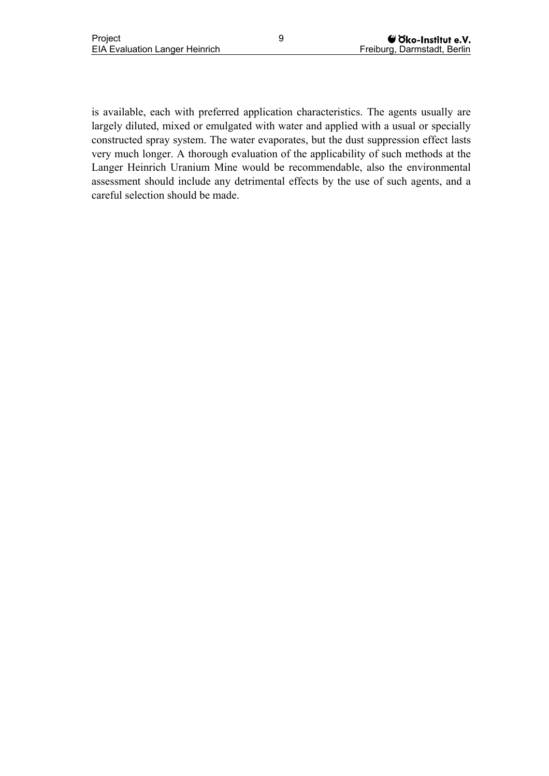is available, each with preferred application characteristics. The agents usually are largely diluted, mixed or emulgated with water and applied with a usual or specially constructed spray system. The water evaporates, but the dust suppression effect lasts very much longer. A thorough evaluation of the applicability of such methods at the Langer Heinrich Uranium Mine would be recommendable, also the environmental assessment should include any detrimental effects by the use of such agents, and a careful selection should be made.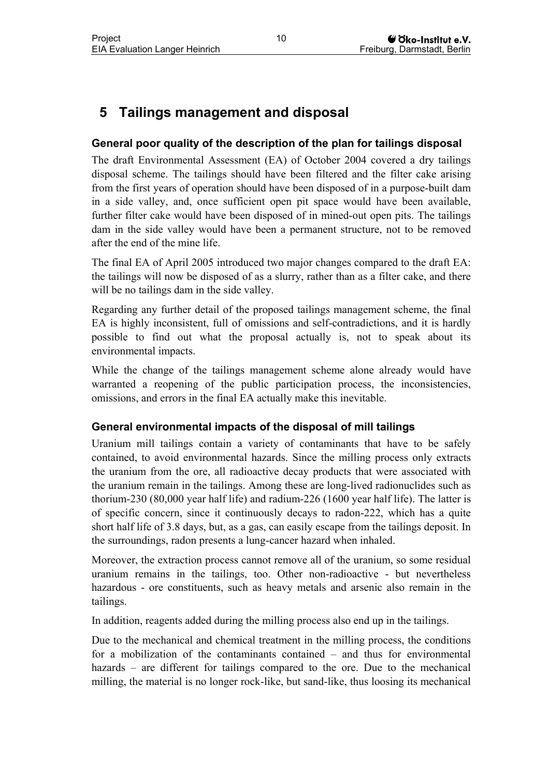## <span id="page-13-0"></span>**5 Tailings management and disposal**

### **General poor quality of the description of the plan for tailings disposal**

The draft Environmental Assessment (EA) of October 2004 covered a dry tailings disposal scheme. The tailings should have been filtered and the filter cake arising from the first years of operation should have been disposed of in a purpose-built dam in a side valley, and, once sufficient open pit space would have been available, further filter cake would have been disposed of in mined-out open pits. The tailings dam in the side valley would have been a permanent structure, not to be removed after the end of the mine life.

The final EA of April 2005 introduced two major changes compared to the draft EA: the tailings will now be disposed of as a slurry, rather than as a filter cake, and there will be no tailings dam in the side valley.

Regarding any further detail of the proposed tailings management scheme, the final EA is highly inconsistent, full of omissions and self-contradictions, and it is hardly possible to find out what the proposal actually is, not to speak about its environmental impacts.

While the change of the tailings management scheme alone already would have warranted a reopening of the public participation process, the inconsistencies, omissions, and errors in the final EA actually make this inevitable.

#### **General environmental impacts of the disposal of mill tailings**

Uranium mill tailings contain a variety of contaminants that have to be safely contained, to avoid environmental hazards. Since the milling process only extracts the uranium from the ore, all radioactive decay products that were associated with the uranium remain in the tailings. Among these are long-lived radionuclides such as thorium-230 (80,000 year half life) and radium-226 (1600 year half life). The latter is of specific concern, since it continuously decays to radon-222, which has a quite short half life of 3.8 days, but, as a gas, can easily escape from the tailings deposit. In the surroundings, radon presents a lung-cancer hazard when inhaled.

Moreover, the extraction process cannot remove all of the uranium, so some residual uranium remains in the tailings, too. Other non-radioactive - but nevertheless hazardous - ore constituents, such as heavy metals and arsenic also remain in the tailings.

In addition, reagents added during the milling process also end up in the tailings.

Due to the mechanical and chemical treatment in the milling process, the conditions for a mobilization of the contaminants contained – and thus for environmental hazards – are different for tailings compared to the ore. Due to the mechanical milling, the material is no longer rock-like, but sand-like, thus loosing its mechanical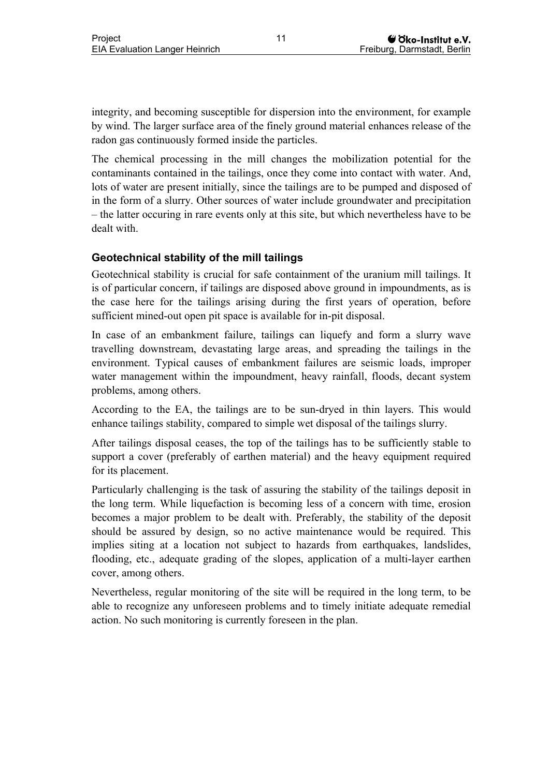integrity, and becoming susceptible for dispersion into the environment, for example by wind. The larger surface area of the finely ground material enhances release of the radon gas continuously formed inside the particles.

The chemical processing in the mill changes the mobilization potential for the contaminants contained in the tailings, once they come into contact with water. And, lots of water are present initially, since the tailings are to be pumped and disposed of in the form of a slurry. Other sources of water include groundwater and precipitation – the latter occuring in rare events only at this site, but which nevertheless have to be dealt with.

### **Geotechnical stability of the mill tailings**

Geotechnical stability is crucial for safe containment of the uranium mill tailings. It is of particular concern, if tailings are disposed above ground in impoundments, as is the case here for the tailings arising during the first years of operation, before sufficient mined-out open pit space is available for in-pit disposal.

In case of an embankment failure, tailings can liquefy and form a slurry wave travelling downstream, devastating large areas, and spreading the tailings in the environment. Typical causes of embankment failures are seismic loads, improper water management within the impoundment, heavy rainfall, floods, decant system problems, among others.

According to the EA, the tailings are to be sun-dryed in thin layers. This would enhance tailings stability, compared to simple wet disposal of the tailings slurry.

After tailings disposal ceases, the top of the tailings has to be sufficiently stable to support a cover (preferably of earthen material) and the heavy equipment required for its placement.

Particularly challenging is the task of assuring the stability of the tailings deposit in the long term. While liquefaction is becoming less of a concern with time, erosion becomes a major problem to be dealt with. Preferably, the stability of the deposit should be assured by design, so no active maintenance would be required. This implies siting at a location not subject to hazards from earthquakes, landslides, flooding, etc., adequate grading of the slopes, application of a multi-layer earthen cover, among others.

Nevertheless, regular monitoring of the site will be required in the long term, to be able to recognize any unforeseen problems and to timely initiate adequate remedial action. No such monitoring is currently foreseen in the plan.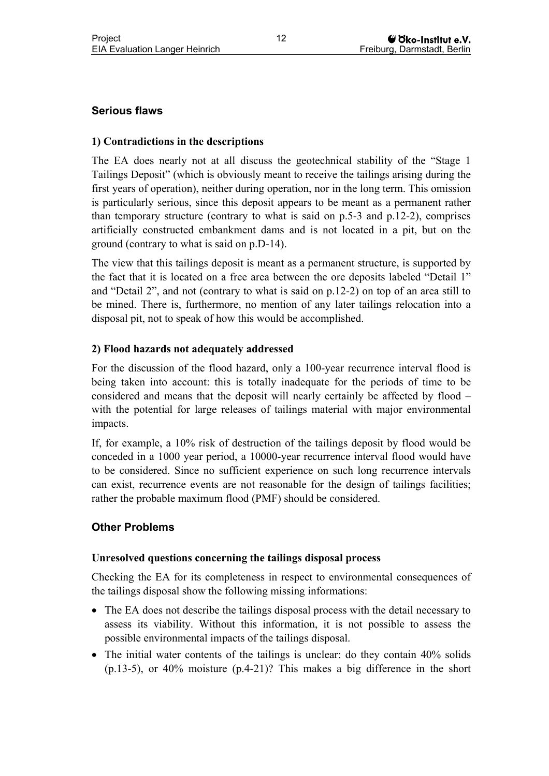### **Serious flaws**

#### **1) Contradictions in the descriptions**

The EA does nearly not at all discuss the geotechnical stability of the "Stage 1 Tailings Deposit" (which is obviously meant to receive the tailings arising during the first years of operation), neither during operation, nor in the long term. This omission is particularly serious, since this deposit appears to be meant as a permanent rather than temporary structure (contrary to what is said on p.5-3 and p.12-2), comprises artificially constructed embankment dams and is not located in a pit, but on the ground (contrary to what is said on p.D-14).

The view that this tailings deposit is meant as a permanent structure, is supported by the fact that it is located on a free area between the ore deposits labeled "Detail 1" and "Detail 2", and not (contrary to what is said on p.12-2) on top of an area still to be mined. There is, furthermore, no mention of any later tailings relocation into a disposal pit, not to speak of how this would be accomplished.

#### **2) Flood hazards not adequately addressed**

For the discussion of the flood hazard, only a 100-year recurrence interval flood is being taken into account: this is totally inadequate for the periods of time to be considered and means that the deposit will nearly certainly be affected by flood – with the potential for large releases of tailings material with major environmental impacts.

If, for example, a 10% risk of destruction of the tailings deposit by flood would be conceded in a 1000 year period, a 10000-year recurrence interval flood would have to be considered. Since no sufficient experience on such long recurrence intervals can exist, recurrence events are not reasonable for the design of tailings facilities; rather the probable maximum flood (PMF) should be considered.

#### **Other Problems**

#### **Unresolved questions concerning the tailings disposal process**

Checking the EA for its completeness in respect to environmental consequences of the tailings disposal show the following missing informations:

- The EA does not describe the tailings disposal process with the detail necessary to assess its viability. Without this information, it is not possible to assess the possible environmental impacts of the tailings disposal.
- The initial water contents of the tailings is unclear: do they contain 40% solids (p.13-5), or 40% moisture (p.4-21)? This makes a big difference in the short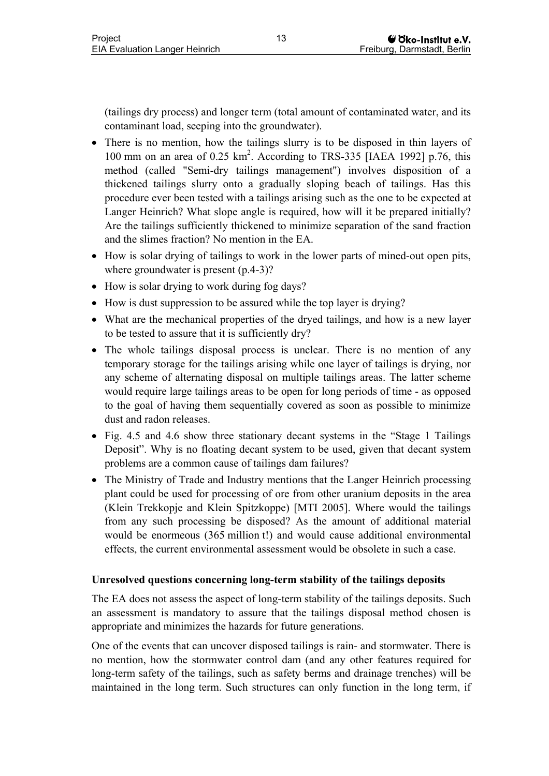(tailings dry process) and longer term (total amount of contaminated water, and its contaminant load, seeping into the groundwater).

- There is no mention, how the tailings slurry is to be disposed in thin layers of 100 mm on an area of  $0.25 \text{ km}^2$ . According to TRS-335 [IAEA 1992] p.76, this method (called "Semi-dry tailings management") involves disposition of a thickened tailings slurry onto a gradually sloping beach of tailings. Has this procedure ever been tested with a tailings arising such as the one to be expected at Langer Heinrich? What slope angle is required, how will it be prepared initially? Are the tailings sufficiently thickened to minimize separation of the sand fraction and the slimes fraction? No mention in the EA.
- How is solar drying of tailings to work in the lower parts of mined-out open pits, where groundwater is present  $(p.4-3)$ ?
- How is solar drying to work during fog days?
- How is dust suppression to be assured while the top layer is drying?
- What are the mechanical properties of the dryed tailings, and how is a new layer to be tested to assure that it is sufficiently dry?
- The whole tailings disposal process is unclear. There is no mention of any temporary storage for the tailings arising while one layer of tailings is drying, nor any scheme of alternating disposal on multiple tailings areas. The latter scheme would require large tailings areas to be open for long periods of time - as opposed to the goal of having them sequentially covered as soon as possible to minimize dust and radon releases.
- Fig. 4.5 and 4.6 show three stationary decant systems in the "Stage 1 Tailings" Deposit". Why is no floating decant system to be used, given that decant system problems are a common cause of tailings dam failures?
- The Ministry of Trade and Industry mentions that the Langer Heinrich processing plant could be used for processing of ore from other uranium deposits in the area (Klein Trekkopje and Klein Spitzkoppe) [MTI 2005]. Where would the tailings from any such processing be disposed? As the amount of additional material would be enormeous (365 million t!) and would cause additional environmental effects, the current environmental assessment would be obsolete in such a case.

#### **Unresolved questions concerning long-term stability of the tailings deposits**

The EA does not assess the aspect of long-term stability of the tailings deposits. Such an assessment is mandatory to assure that the tailings disposal method chosen is appropriate and minimizes the hazards for future generations.

One of the events that can uncover disposed tailings is rain- and stormwater. There is no mention, how the stormwater control dam (and any other features required for long-term safety of the tailings, such as safety berms and drainage trenches) will be maintained in the long term. Such structures can only function in the long term, if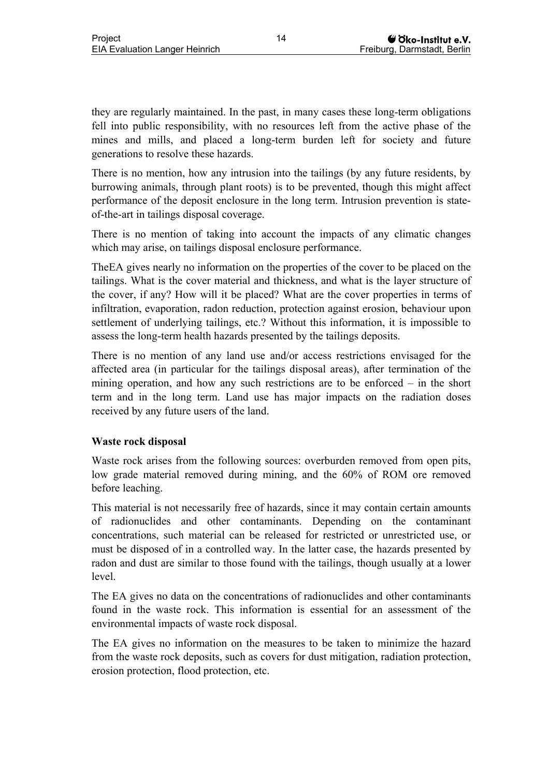they are regularly maintained. In the past, in many cases these long-term obligations fell into public responsibility, with no resources left from the active phase of the mines and mills, and placed a long-term burden left for society and future generations to resolve these hazards.

There is no mention, how any intrusion into the tailings (by any future residents, by burrowing animals, through plant roots) is to be prevented, though this might affect performance of the deposit enclosure in the long term. Intrusion prevention is stateof-the-art in tailings disposal coverage.

There is no mention of taking into account the impacts of any climatic changes which may arise, on tailings disposal enclosure performance.

TheEA gives nearly no information on the properties of the cover to be placed on the tailings. What is the cover material and thickness, and what is the layer structure of the cover, if any? How will it be placed? What are the cover properties in terms of infiltration, evaporation, radon reduction, protection against erosion, behaviour upon settlement of underlying tailings, etc.? Without this information, it is impossible to assess the long-term health hazards presented by the tailings deposits.

There is no mention of any land use and/or access restrictions envisaged for the affected area (in particular for the tailings disposal areas), after termination of the mining operation, and how any such restrictions are to be enforced – in the short term and in the long term. Land use has major impacts on the radiation doses received by any future users of the land.

#### **Waste rock disposal**

Waste rock arises from the following sources: overburden removed from open pits, low grade material removed during mining, and the 60% of ROM ore removed before leaching.

This material is not necessarily free of hazards, since it may contain certain amounts of radionuclides and other contaminants. Depending on the contaminant concentrations, such material can be released for restricted or unrestricted use, or must be disposed of in a controlled way. In the latter case, the hazards presented by radon and dust are similar to those found with the tailings, though usually at a lower level.

The EA gives no data on the concentrations of radionuclides and other contaminants found in the waste rock. This information is essential for an assessment of the environmental impacts of waste rock disposal.

The EA gives no information on the measures to be taken to minimize the hazard from the waste rock deposits, such as covers for dust mitigation, radiation protection, erosion protection, flood protection, etc.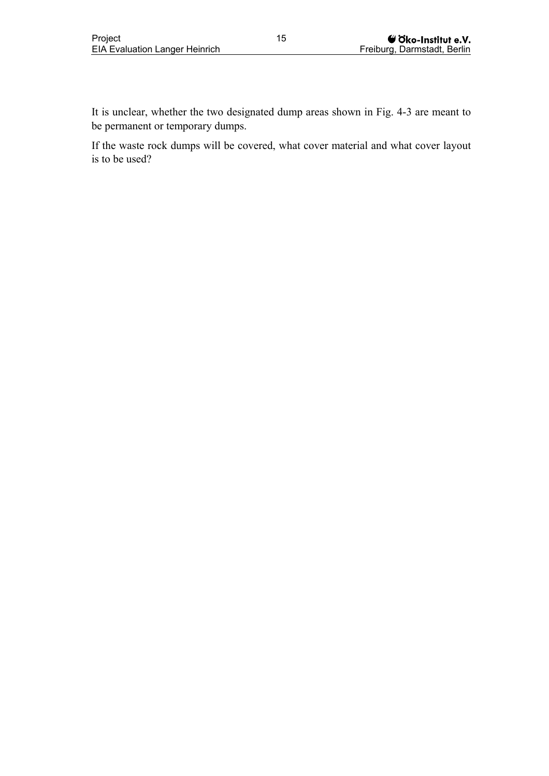It is unclear, whether the two designated dump areas shown in Fig. 4-3 are meant to be permanent or temporary dumps.

If the waste rock dumps will be covered, what cover material and what cover layout is to be used?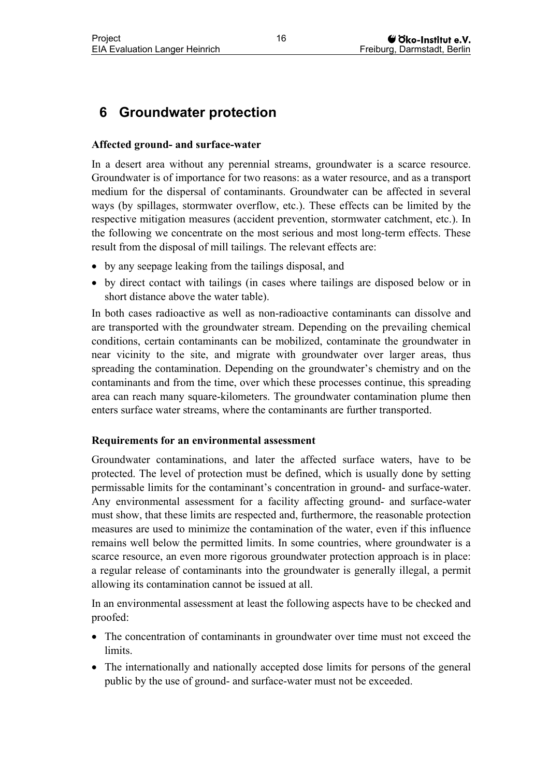## <span id="page-19-0"></span>**6 Groundwater protection**

### **Affected ground- and surface-water**

In a desert area without any perennial streams, groundwater is a scarce resource. Groundwater is of importance for two reasons: as a water resource, and as a transport medium for the dispersal of contaminants. Groundwater can be affected in several ways (by spillages, stormwater overflow, etc.). These effects can be limited by the respective mitigation measures (accident prevention, stormwater catchment, etc.). In the following we concentrate on the most serious and most long-term effects. These result from the disposal of mill tailings. The relevant effects are:

- by any seepage leaking from the tailings disposal, and
- by direct contact with tailings (in cases where tailings are disposed below or in short distance above the water table).

In both cases radioactive as well as non-radioactive contaminants can dissolve and are transported with the groundwater stream. Depending on the prevailing chemical conditions, certain contaminants can be mobilized, contaminate the groundwater in near vicinity to the site, and migrate with groundwater over larger areas, thus spreading the contamination. Depending on the groundwater's chemistry and on the contaminants and from the time, over which these processes continue, this spreading area can reach many square-kilometers. The groundwater contamination plume then enters surface water streams, where the contaminants are further transported.

#### **Requirements for an environmental assessment**

Groundwater contaminations, and later the affected surface waters, have to be protected. The level of protection must be defined, which is usually done by setting permissable limits for the contaminant's concentration in ground- and surface-water. Any environmental assessment for a facility affecting ground- and surface-water must show, that these limits are respected and, furthermore, the reasonable protection measures are used to minimize the contamination of the water, even if this influence remains well below the permitted limits. In some countries, where groundwater is a scarce resource, an even more rigorous groundwater protection approach is in place: a regular release of contaminants into the groundwater is generally illegal, a permit allowing its contamination cannot be issued at all.

In an environmental assessment at least the following aspects have to be checked and proofed:

- The concentration of contaminants in groundwater over time must not exceed the limits.
- The internationally and nationally accepted dose limits for persons of the general public by the use of ground- and surface-water must not be exceeded.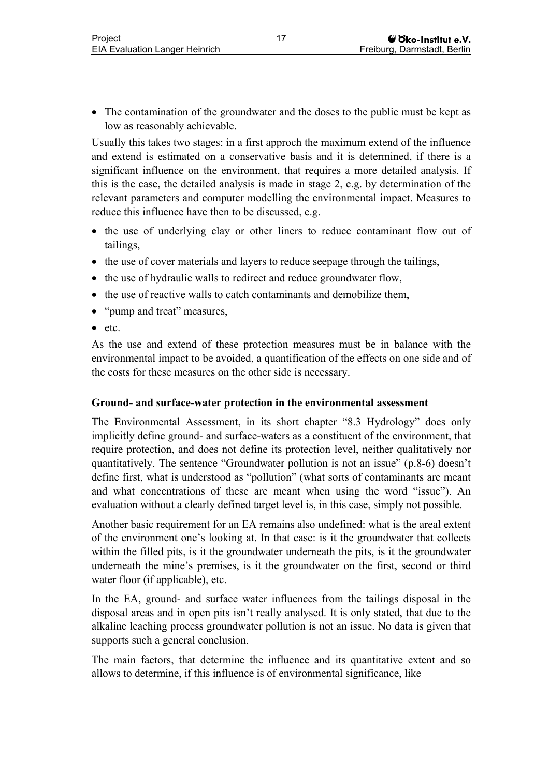• The contamination of the groundwater and the doses to the public must be kept as low as reasonably achievable.

Usually this takes two stages: in a first approch the maximum extend of the influence and extend is estimated on a conservative basis and it is determined, if there is a significant influence on the environment, that requires a more detailed analysis. If this is the case, the detailed analysis is made in stage 2, e.g. by determination of the relevant parameters and computer modelling the environmental impact. Measures to reduce this influence have then to be discussed, e.g.

- the use of underlying clay or other liners to reduce contaminant flow out of tailings,
- the use of cover materials and layers to reduce seepage through the tailings,
- the use of hydraulic walls to redirect and reduce groundwater flow,
- the use of reactive walls to catch contaminants and demobilize them,
- "pump and treat" measures,
- etc.

As the use and extend of these protection measures must be in balance with the environmental impact to be avoided, a quantification of the effects on one side and of the costs for these measures on the other side is necessary.

#### **Ground- and surface-water protection in the environmental assessment**

The Environmental Assessment, in its short chapter "8.3 Hydrology" does only implicitly define ground- and surface-waters as a constituent of the environment, that require protection, and does not define its protection level, neither qualitatively nor quantitatively. The sentence "Groundwater pollution is not an issue" (p.8-6) doesn't define first, what is understood as "pollution" (what sorts of contaminants are meant and what concentrations of these are meant when using the word "issue"). An evaluation without a clearly defined target level is, in this case, simply not possible.

Another basic requirement for an EA remains also undefined: what is the areal extent of the environment one's looking at. In that case: is it the groundwater that collects within the filled pits, is it the groundwater underneath the pits, is it the groundwater underneath the mine's premises, is it the groundwater on the first, second or third water floor (if applicable), etc.

In the EA, ground- and surface water influences from the tailings disposal in the disposal areas and in open pits isn't really analysed. It is only stated, that due to the alkaline leaching process groundwater pollution is not an issue. No data is given that supports such a general conclusion.

The main factors, that determine the influence and its quantitative extent and so allows to determine, if this influence is of environmental significance, like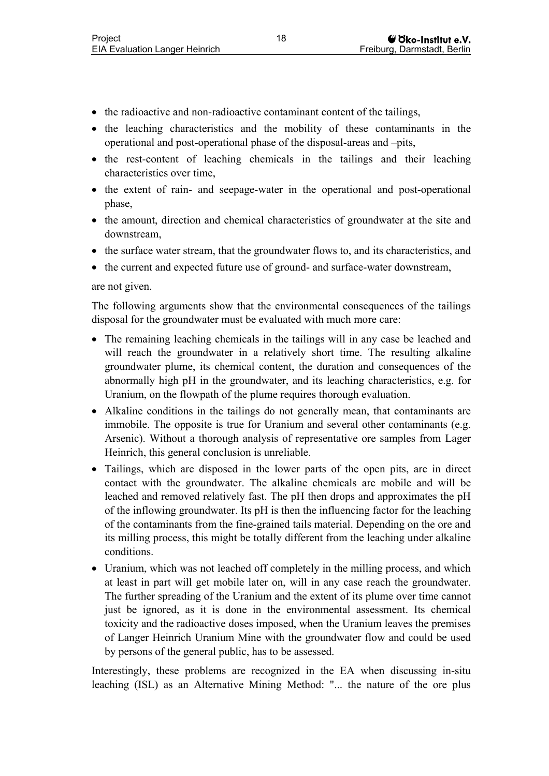- the radioactive and non-radioactive contaminant content of the tailings,
- the leaching characteristics and the mobility of these contaminants in the operational and post-operational phase of the disposal-areas and –pits,
- the rest-content of leaching chemicals in the tailings and their leaching characteristics over time,
- the extent of rain- and seepage-water in the operational and post-operational phase,
- the amount, direction and chemical characteristics of groundwater at the site and downstream,
- the surface water stream, that the groundwater flows to, and its characteristics, and
- the current and expected future use of ground- and surface-water downstream,

#### are not given.

The following arguments show that the environmental consequences of the tailings disposal for the groundwater must be evaluated with much more care:

- The remaining leaching chemicals in the tailings will in any case be leached and will reach the groundwater in a relatively short time. The resulting alkaline groundwater plume, its chemical content, the duration and consequences of the abnormally high pH in the groundwater, and its leaching characteristics, e.g. for Uranium, on the flowpath of the plume requires thorough evaluation.
- Alkaline conditions in the tailings do not generally mean, that contaminants are immobile. The opposite is true for Uranium and several other contaminants (e.g. Arsenic). Without a thorough analysis of representative ore samples from Lager Heinrich, this general conclusion is unreliable.
- Tailings, which are disposed in the lower parts of the open pits, are in direct contact with the groundwater. The alkaline chemicals are mobile and will be leached and removed relatively fast. The pH then drops and approximates the pH of the inflowing groundwater. Its pH is then the influencing factor for the leaching of the contaminants from the fine-grained tails material. Depending on the ore and its milling process, this might be totally different from the leaching under alkaline conditions.
- Uranium, which was not leached off completely in the milling process, and which at least in part will get mobile later on, will in any case reach the groundwater. The further spreading of the Uranium and the extent of its plume over time cannot just be ignored, as it is done in the environmental assessment. Its chemical toxicity and the radioactive doses imposed, when the Uranium leaves the premises of Langer Heinrich Uranium Mine with the groundwater flow and could be used by persons of the general public, has to be assessed.

Interestingly, these problems are recognized in the EA when discussing in-situ leaching (ISL) as an Alternative Mining Method: "... the nature of the ore plus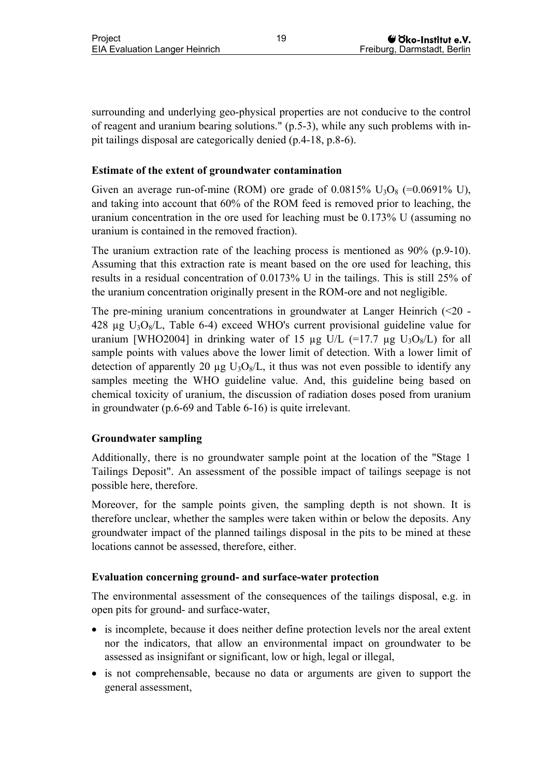surrounding and underlying geo-physical properties are not conducive to the control of reagent and uranium bearing solutions." (p.5-3), while any such problems with inpit tailings disposal are categorically denied (p.4-18, p.8-6).

#### **Estimate of the extent of groundwater contamination**

Given an average run-of-mine (ROM) ore grade of  $0.0815\%$  U<sub>3</sub>O<sub>8</sub> (=0.0691% U), and taking into account that 60% of the ROM feed is removed prior to leaching, the uranium concentration in the ore used for leaching must be 0.173% U (assuming no uranium is contained in the removed fraction).

The uranium extraction rate of the leaching process is mentioned as 90% (p.9-10). Assuming that this extraction rate is meant based on the ore used for leaching, this results in a residual concentration of 0.0173% U in the tailings. This is still 25% of the uranium concentration originally present in the ROM-ore and not negligible.

The pre-mining uranium concentrations in groundwater at Langer Heinrich  $(\leq 20$  -428  $\mu$ g U<sub>3</sub>O<sub>8</sub>/L, Table 6-4) exceed WHO's current provisional guideline value for uranium [WHO2004] in drinking water of 15  $\mu$ g U/L (=17.7  $\mu$ g U<sub>3</sub>O<sub>8</sub>/L) for all sample points with values above the lower limit of detection. With a lower limit of detection of apparently 20  $\mu$ g U<sub>3</sub>O<sub>8</sub>/L, it thus was not even possible to identify any samples meeting the WHO guideline value. And, this guideline being based on chemical toxicity of uranium, the discussion of radiation doses posed from uranium in groundwater (p.6-69 and Table 6-16) is quite irrelevant.

#### **Groundwater sampling**

Additionally, there is no groundwater sample point at the location of the "Stage 1 Tailings Deposit". An assessment of the possible impact of tailings seepage is not possible here, therefore.

Moreover, for the sample points given, the sampling depth is not shown. It is therefore unclear, whether the samples were taken within or below the deposits. Any groundwater impact of the planned tailings disposal in the pits to be mined at these locations cannot be assessed, therefore, either.

#### **Evaluation concerning ground- and surface-water protection**

The environmental assessment of the consequences of the tailings disposal, e.g. in open pits for ground- and surface-water,

- is incomplete, because it does neither define protection levels nor the areal extent nor the indicators, that allow an environmental impact on groundwater to be assessed as insignifant or significant, low or high, legal or illegal,
- is not comprehensable, because no data or arguments are given to support the general assessment,

19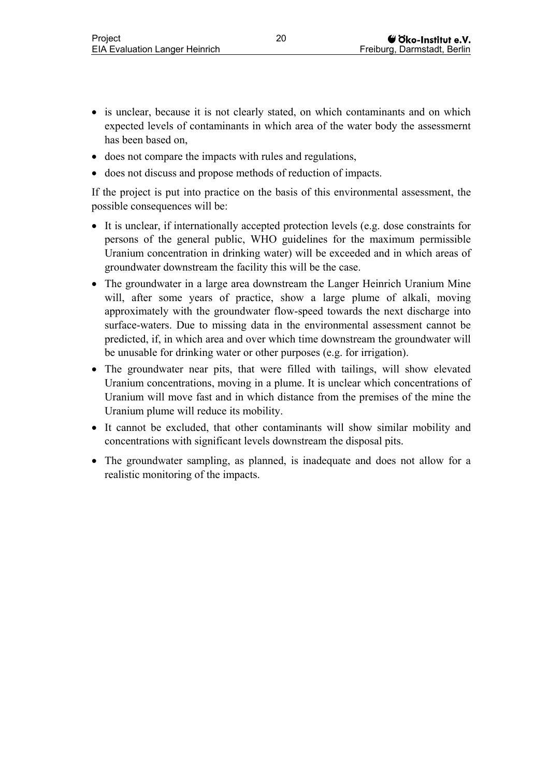- is unclear, because it is not clearly stated, on which contaminants and on which expected levels of contaminants in which area of the water body the assessmernt has been based on,
- does not compare the impacts with rules and regulations,
- does not discuss and propose methods of reduction of impacts.

If the project is put into practice on the basis of this environmental assessment, the possible consequences will be:

- It is unclear, if internationally accepted protection levels (e.g. dose constraints for persons of the general public, WHO guidelines for the maximum permissible Uranium concentration in drinking water) will be exceeded and in which areas of groundwater downstream the facility this will be the case.
- The groundwater in a large area downstream the Langer Heinrich Uranium Mine will, after some years of practice, show a large plume of alkali, moving approximately with the groundwater flow-speed towards the next discharge into surface-waters. Due to missing data in the environmental assessment cannot be predicted, if, in which area and over which time downstream the groundwater will be unusable for drinking water or other purposes (e.g. for irrigation).
- The groundwater near pits, that were filled with tailings, will show elevated Uranium concentrations, moving in a plume. It is unclear which concentrations of Uranium will move fast and in which distance from the premises of the mine the Uranium plume will reduce its mobility.
- It cannot be excluded, that other contaminants will show similar mobility and concentrations with significant levels downstream the disposal pits.
- The groundwater sampling, as planned, is inadequate and does not allow for a realistic monitoring of the impacts.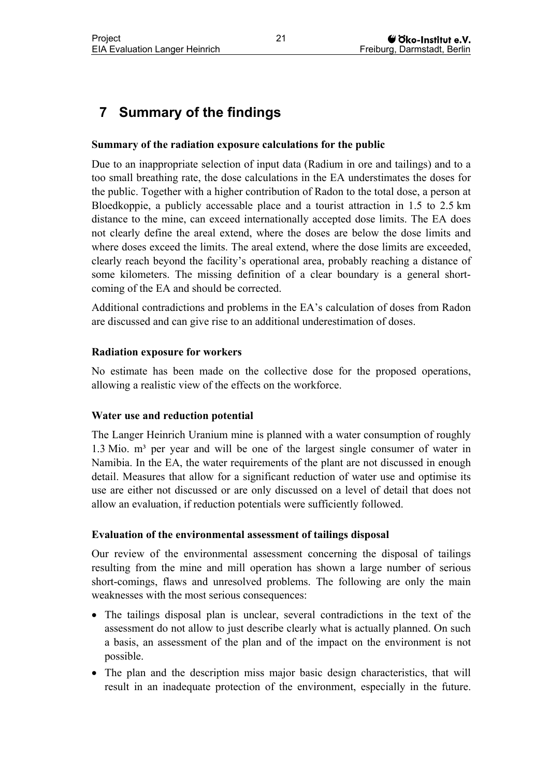## <span id="page-24-0"></span>**7 Summary of the findings**

#### **Summary of the radiation exposure calculations for the public**

Due to an inappropriate selection of input data (Radium in ore and tailings) and to a too small breathing rate, the dose calculations in the EA understimates the doses for the public. Together with a higher contribution of Radon to the total dose, a person at Bloedkoppie, a publicly accessable place and a tourist attraction in 1.5 to 2.5 km distance to the mine, can exceed internationally accepted dose limits. The EA does not clearly define the areal extend, where the doses are below the dose limits and where doses exceed the limits. The areal extend, where the dose limits are exceeded, clearly reach beyond the facility's operational area, probably reaching a distance of some kilometers. The missing definition of a clear boundary is a general shortcoming of the EA and should be corrected.

Additional contradictions and problems in the EA's calculation of doses from Radon are discussed and can give rise to an additional underestimation of doses.

#### **Radiation exposure for workers**

No estimate has been made on the collective dose for the proposed operations, allowing a realistic view of the effects on the workforce.

#### **Water use and reduction potential**

The Langer Heinrich Uranium mine is planned with a water consumption of roughly 1.3 Mio.  $m<sup>3</sup>$  per year and will be one of the largest single consumer of water in Namibia. In the EA, the water requirements of the plant are not discussed in enough detail. Measures that allow for a significant reduction of water use and optimise its use are either not discussed or are only discussed on a level of detail that does not allow an evaluation, if reduction potentials were sufficiently followed.

#### **Evaluation of the environmental assessment of tailings disposal**

Our review of the environmental assessment concerning the disposal of tailings resulting from the mine and mill operation has shown a large number of serious short-comings, flaws and unresolved problems. The following are only the main weaknesses with the most serious consequences:

- The tailings disposal plan is unclear, several contradictions in the text of the assessment do not allow to just describe clearly what is actually planned. On such a basis, an assessment of the plan and of the impact on the environment is not possible.
- The plan and the description miss major basic design characteristics, that will result in an inadequate protection of the environment, especially in the future.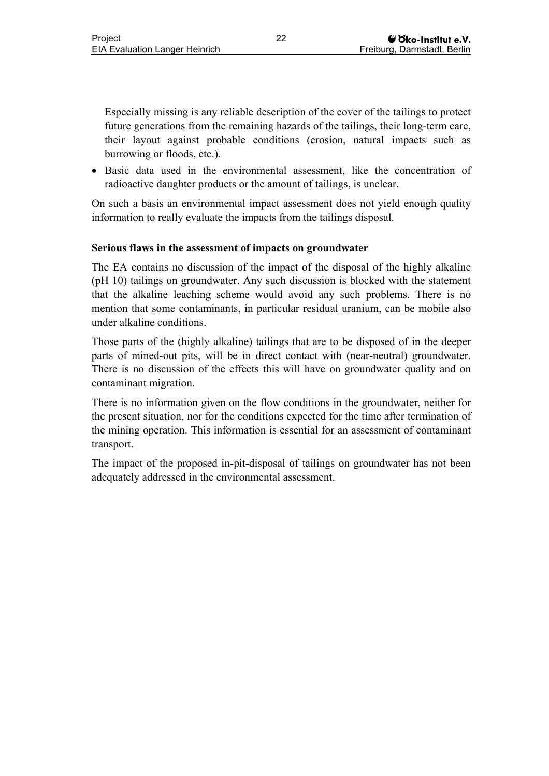Especially missing is any reliable description of the cover of the tailings to protect future generations from the remaining hazards of the tailings, their long-term care, their layout against probable conditions (erosion, natural impacts such as burrowing or floods, etc.).

• Basic data used in the environmental assessment, like the concentration of radioactive daughter products or the amount of tailings, is unclear.

On such a basis an environmental impact assessment does not yield enough quality information to really evaluate the impacts from the tailings disposal.

#### **Serious flaws in the assessment of impacts on groundwater**

The EA contains no discussion of the impact of the disposal of the highly alkaline (pH 10) tailings on groundwater. Any such discussion is blocked with the statement that the alkaline leaching scheme would avoid any such problems. There is no mention that some contaminants, in particular residual uranium, can be mobile also under alkaline conditions.

Those parts of the (highly alkaline) tailings that are to be disposed of in the deeper parts of mined-out pits, will be in direct contact with (near-neutral) groundwater. There is no discussion of the effects this will have on groundwater quality and on contaminant migration.

There is no information given on the flow conditions in the groundwater, neither for the present situation, nor for the conditions expected for the time after termination of the mining operation. This information is essential for an assessment of contaminant transport.

The impact of the proposed in-pit-disposal of tailings on groundwater has not been adequately addressed in the environmental assessment.